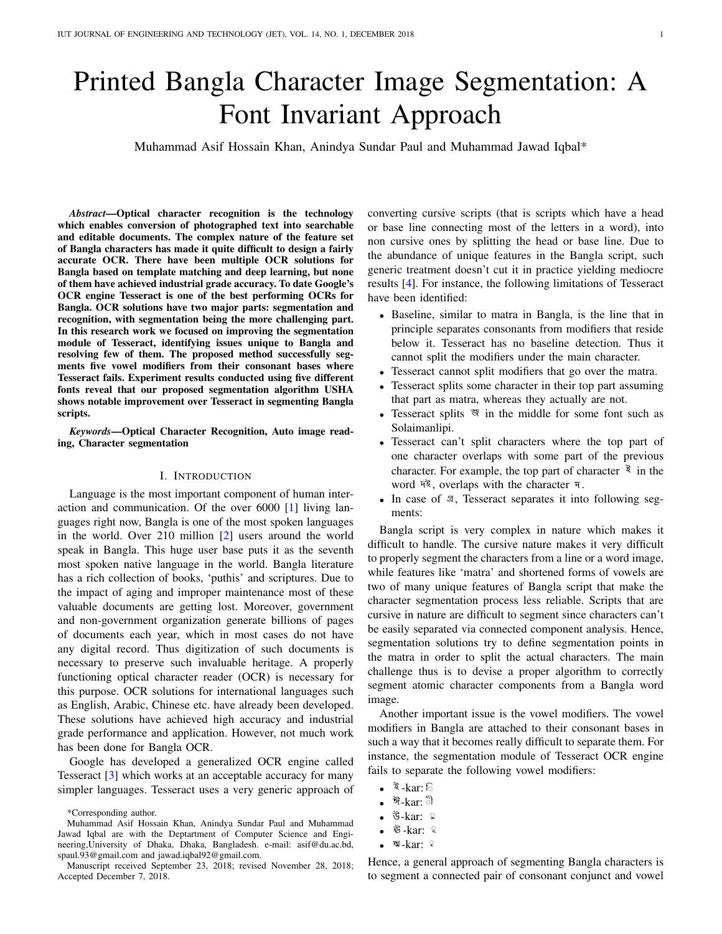# Printed Bangla Character Image Segmentation: A Font Invariant Approach

Muhammad Asif Hossain Khan, Anindya Sundar Paul and Muhammad Jawad Iqbal\*

*Abstract*—Optical character recognition is the technology which enables conversion of photographed text into searchable and editable documents. The complex nature of the feature set of Bangla characters has made it quite difficult to design a fairly accurate OCR. There have been multiple OCR solutions for Bangla based on template matching and deep learning, but none of them have achieved industrial grade accuracy. To date Google's OCR engine Tesseract is one of the best performing OCRs for Bangla. OCR solutions have two major parts: segmentation and recognition, with segmentation being the more challenging part. In this research work we focused on improving the segmentation module of Tesseract, identifying issues unique to Bangla and resolving few of them. The proposed method successfully segments five vowel modifiers from their consonant bases where Tesseract fails. Experiment results conducted using five different fonts reveal that our proposed segmentation algorithm USHA shows notable improvement over Tesseract in segmenting Bangla scripts.

*Keywords*—Optical Character Recognition, Auto image reading, Character segmentation

#### I. INTRODUCTION

Language is the most important component of human interaction and communication. Of the over 6000 [\[1\]](#page-5-0) living languages right now, Bangla is one of the most spoken languages in the world. Over 210 million [\[2\]](#page-5-1) users around the world speak in Bangla. This huge user base puts it as the seventh most spoken native language in the world. Bangla literature has a rich collection of books, 'puthis' and scriptures. Due to the impact of aging and improper maintenance most of these valuable documents are getting lost. Moreover, government and non-government organization generate billions of pages of documents each year, which in most cases do not have any digital record. Thus digitization of such documents is necessary to preserve such invaluable heritage. A properly functioning optical character reader (OCR) is necessary for this purpose. OCR solutions for international languages such as English, Arabic, Chinese etc. have already been developed. These solutions have achieved high accuracy and industrial grade performance and application. However, not much work has been done for Bangla OCR.

Google has developed a generalized OCR engine called Tesseract [\[3\]](#page-5-2) which works at an acceptable accuracy for many simpler languages. Tesseract uses a very generic approach of converting cursive scripts (that is scripts which have a head or base line connecting most of the letters in a word), into non cursive ones by splitting the head or base line. Due to the abundance of unique features in the Bangla script, such generic treatment doesn't cut it in practice yielding mediocre results [\[4\]](#page-5-3). For instance, the following limitations of Tesseract have been identified:

- Baseline, similar to matra in Bangla, is the line that in principle separates consonants from modifiers that reside below it. Tesseract has no baseline detection. Thus it cannot split the modifiers under the main character.
- Tesseract cannot split modifiers that go over the matra.
- Tesseract splits some character in their top part assuming that part as matra, whereas they actually are not.
- Tesseract splits  $\overline{\mathfrak{G}}$  in the middle for some font such as Solaimanlipi.
- Tesseract can't split characters where the top part of one character overlaps with some part of the previous character. For example, the top part of character  $\frac{3}{5}$  in the word  $\overline{4}$ , overlaps with the character  $\overline{4}$ .
- In case of  $\mathfrak{A}$ , Tesseract separates it into following segments:

Bangla script is very complex in nature which makes it difficult to handle. The cursive nature makes it very difficult to properly segment the characters from a line or a word image, while features like 'matra' and shortened forms of vowels are two of many unique features of Bangla script that make the character segmentation process less reliable. Scripts that are cursive in nature are difficult to segment since characters can't be easily separated via connected component analysis. Hence, segmentation solutions try to define segmentation points in the matra in order to split the actual characters. The main challenge thus is to devise a proper algorithm to correctly segment atomic character components from a Bangla word image.

Another important issue is the vowel modifiers. The vowel modifiers in Bangla are attached to their consonant bases in such a way that it becomes really difficult to separate them. For instance, the segmentation module of Tesseract OCR engine fails to separate the following vowel modifiers:

- ই-kar·ি
- ঈ-kar: ী
- $\vec{v}$ -kar: 2
- উ-kar:  $\infty$
- $\bullet$   $\leq$   $kar:$   $\in$

Hence, a general approach of segmenting Bangla characters is to segment a connected pair of consonant conjunct and vowel

<sup>\*</sup>Corresponding author.

Muhammad Asif Hossain Khan, Anindya Sundar Paul and Muhammad Jawad Iqbal are with the Deptartment of Computer Science and Engineering,University of Dhaka, Dhaka, Bangladesh. e-mail: asif@du.ac.bd, spaul.93@gmail.com and jawad.iqbal92@gmail.com.

Manuscript received September 23, 2018; revised November 28, 2018; Accepted December 7, 2018.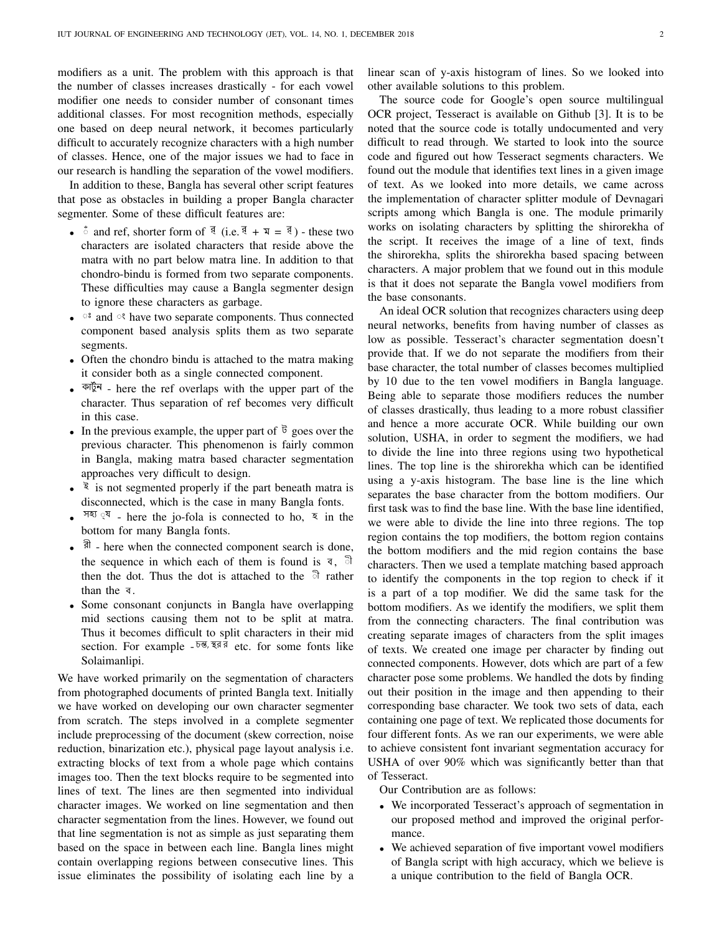modifiers as a unit. The problem with this approach is that the number of classes increases drastically - for each vowel modifier one needs to consider number of consonant times additional classes. For most recognition methods, especially one based on deep neural network, it becomes particularly difficult to accurately recognize characters with a high number of classes. Hence, one of the major issues we had to face in our research is handling the separation of the vowel modifiers.

In addition to these, Bangla has several other script features that pose as obstacles in building a proper Bangla character segmenter. Some of these difficult features are:

- $\circ$  and ref, shorter form of  $\frac{1}{3}$  (i.e.  $\frac{1}{3} + \frac{1}{3} = \frac{1}{3}$ ) these two characters are isolated characters that reside above the matra with no part below matra line. In addition to that chondro-bindu is formed from two separate components. These difficulties may cause a Bangla segmenter design to ignore these characters as garbage.
- $\bullet$   $\circ$ <sup>8</sup> and  $\circ$ <sup>8</sup> have two separate components. Thus connected component based analysis splits them as two separate segments.
- Often the chondro bindu is attached to the matra making it consider both as a single connected component.
- $\Phi(\vec{x})$  here the ref overlaps with the upper part of the character. Thus separation of ref becomes very difficult in this case.
- In the previous example, the upper part of  $\vec{v}$  goes over the previous character. This phenomenon is fairly common in Bangla, making matra based character segmentation approaches very difficult to design.
- $\frac{3}{5}$  is not segmented properly if the part beneath matra is disconnected, which is the case in many Bangla fonts.
- $\frac{4}{3}$ ,  $\frac{4}{3}$  here the jo-fola is connected to ho,  $\frac{4}{3}$  in the bottom for many Bangla fonts.
- $\frac{2}{3}$  here when the connected component search is done, the sequence in which each of them is found is  $\overline{a}$ ,  $\overline{a}$ then the dot. Thus the dot is attached to the  $\partial$  rather than the  $\overline{4}$ .
- Some consonant conjuncts in Bangla have overlapping mid sections causing them not to be split at matra. Thus it becomes difficult to split characters in their mid section. For example  $-\overline{68}, \overline{88}$  etc. for some fonts like Solaimanlipi.

We have worked primarily on the segmentation of characters from photographed documents of printed Bangla text. Initially we have worked on developing our own character segmenter from scratch. The steps involved in a complete segmenter include preprocessing of the document (skew correction, noise reduction, binarization etc.), physical page layout analysis i.e. extracting blocks of text from a whole page which contains images too. Then the text blocks require to be segmented into lines of text. The lines are then segmented into individual character images. We worked on line segmentation and then character segmentation from the lines. However, we found out that line segmentation is not as simple as just separating them based on the space in between each line. Bangla lines might contain overlapping regions between consecutive lines. This issue eliminates the possibility of isolating each line by a

linear scan of y-axis histogram of lines. So we looked into other available solutions to this problem.

The source code for Google's open source multilingual OCR project, Tesseract is available on Github [3]. It is to be noted that the source code is totally undocumented and very difficult to read through. We started to look into the source code and figured out how Tesseract segments characters. We found out the module that identifies text lines in a given image of text. As we looked into more details, we came across the implementation of character splitter module of Devnagari scripts among which Bangla is one. The module primarily works on isolating characters by splitting the shirorekha of the script. It receives the image of a line of text, finds the shirorekha, splits the shirorekha based spacing between characters. A major problem that we found out in this module is that it does not separate the Bangla vowel modifiers from the base consonants.

An ideal OCR solution that recognizes characters using deep neural networks, benefits from having number of classes as low as possible. Tesseract's character segmentation doesn't provide that. If we do not separate the modifiers from their base character, the total number of classes becomes multiplied by 10 due to the ten vowel modifiers in Bangla language. Being able to separate those modifiers reduces the number of classes drastically, thus leading to a more robust classifier and hence a more accurate OCR. While building our own solution, USHA, in order to segment the modifiers, we had to divide the line into three regions using two hypothetical lines. The top line is the shirorekha which can be identified using a y-axis histogram. The base line is the line which separates the base character from the bottom modifiers. Our first task was to find the base line. With the base line identified, we were able to divide the line into three regions. The top region contains the top modifiers, the bottom region contains the bottom modifiers and the mid region contains the base characters. Then we used a template matching based approach to identify the components in the top region to check if it is a part of a top modifier. We did the same task for the bottom modifiers. As we identify the modifiers, we split them from the connecting characters. The final contribution was creating separate images of characters from the split images of texts. We created one image per character by finding out connected components. However, dots which are part of a few character pose some problems. We handled the dots by finding out their position in the image and then appending to their corresponding base character. We took two sets of data, each containing one page of text. We replicated those documents for four different fonts. As we ran our experiments, we were able to achieve consistent font invariant segmentation accuracy for USHA of over 90% which was significantly better than that of Tesseract.

Our Contribution are as follows:

- We incorporated Tesseract's approach of segmentation in our proposed method and improved the original performance.
- We achieved separation of five important vowel modifiers of Bangla script with high accuracy, which we believe is a unique contribution to the field of Bangla OCR.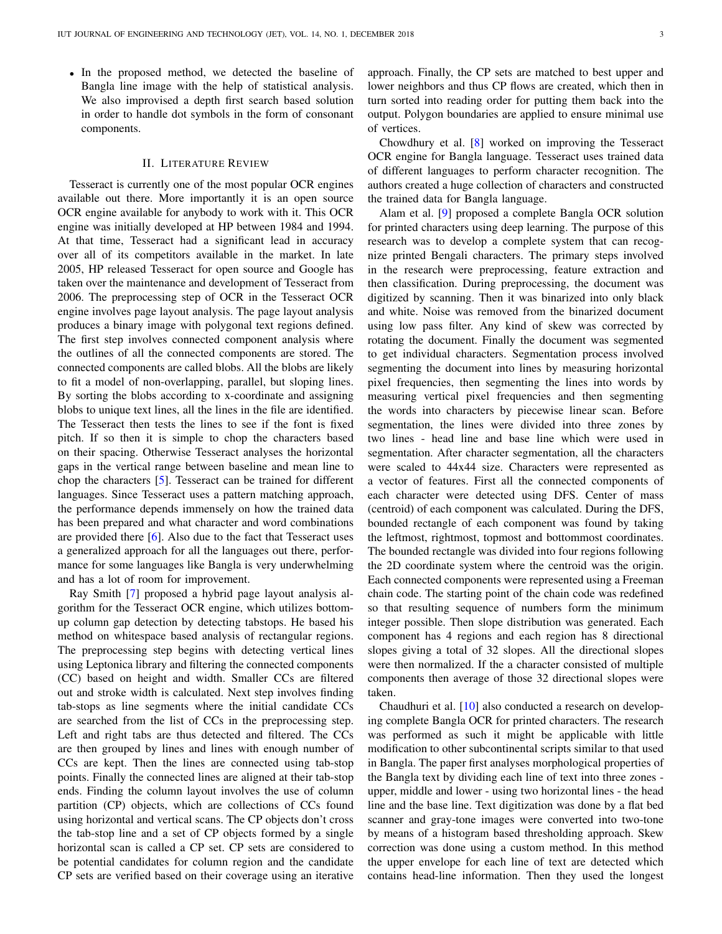• In the proposed method, we detected the baseline of Bangla line image with the help of statistical analysis. We also improvised a depth first search based solution in order to handle dot symbols in the form of consonant components.

## II. LITERATURE REVIEW

Tesseract is currently one of the most popular OCR engines available out there. More importantly it is an open source OCR engine available for anybody to work with it. This OCR engine was initially developed at HP between 1984 and 1994. At that time, Tesseract had a significant lead in accuracy over all of its competitors available in the market. In late 2005, HP released Tesseract for open source and Google has taken over the maintenance and development of Tesseract from 2006. The preprocessing step of OCR in the Tesseract OCR engine involves page layout analysis. The page layout analysis produces a binary image with polygonal text regions defined. The first step involves connected component analysis where the outlines of all the connected components are stored. The connected components are called blobs. All the blobs are likely to fit a model of non-overlapping, parallel, but sloping lines. By sorting the blobs according to x-coordinate and assigning blobs to unique text lines, all the lines in the file are identified. The Tesseract then tests the lines to see if the font is fixed pitch. If so then it is simple to chop the characters based on their spacing. Otherwise Tesseract analyses the horizontal gaps in the vertical range between baseline and mean line to chop the characters [\[5\]](#page-5-4). Tesseract can be trained for different languages. Since Tesseract uses a pattern matching approach, the performance depends immensely on how the trained data has been prepared and what character and word combinations are provided there [\[6\]](#page-5-5). Also due to the fact that Tesseract uses a generalized approach for all the languages out there, performance for some languages like Bangla is very underwhelming and has a lot of room for improvement.

Ray Smith [\[7\]](#page-5-6) proposed a hybrid page layout analysis algorithm for the Tesseract OCR engine, which utilizes bottomup column gap detection by detecting tabstops. He based his method on whitespace based analysis of rectangular regions. The preprocessing step begins with detecting vertical lines using Leptonica library and filtering the connected components (CC) based on height and width. Smaller CCs are filtered out and stroke width is calculated. Next step involves finding tab-stops as line segments where the initial candidate CCs are searched from the list of CCs in the preprocessing step. Left and right tabs are thus detected and filtered. The CCs are then grouped by lines and lines with enough number of CCs are kept. Then the lines are connected using tab-stop points. Finally the connected lines are aligned at their tab-stop ends. Finding the column layout involves the use of column partition (CP) objects, which are collections of CCs found using horizontal and vertical scans. The CP objects don't cross the tab-stop line and a set of CP objects formed by a single horizontal scan is called a CP set. CP sets are considered to be potential candidates for column region and the candidate CP sets are verified based on their coverage using an iterative

approach. Finally, the CP sets are matched to best upper and lower neighbors and thus CP flows are created, which then in turn sorted into reading order for putting them back into the output. Polygon boundaries are applied to ensure minimal use of vertices.

Chowdhury et al. [\[8\]](#page-5-7) worked on improving the Tesseract OCR engine for Bangla language. Tesseract uses trained data of different languages to perform character recognition. The authors created a huge collection of characters and constructed the trained data for Bangla language.

Alam et al. [\[9\]](#page-5-8) proposed a complete Bangla OCR solution for printed characters using deep learning. The purpose of this research was to develop a complete system that can recognize printed Bengali characters. The primary steps involved in the research were preprocessing, feature extraction and then classification. During preprocessing, the document was digitized by scanning. Then it was binarized into only black and white. Noise was removed from the binarized document using low pass filter. Any kind of skew was corrected by rotating the document. Finally the document was segmented to get individual characters. Segmentation process involved segmenting the document into lines by measuring horizontal pixel frequencies, then segmenting the lines into words by measuring vertical pixel frequencies and then segmenting the words into characters by piecewise linear scan. Before segmentation, the lines were divided into three zones by two lines - head line and base line which were used in segmentation. After character segmentation, all the characters were scaled to 44x44 size. Characters were represented as a vector of features. First all the connected components of each character were detected using DFS. Center of mass (centroid) of each component was calculated. During the DFS, bounded rectangle of each component was found by taking the leftmost, rightmost, topmost and bottommost coordinates. The bounded rectangle was divided into four regions following the 2D coordinate system where the centroid was the origin. Each connected components were represented using a Freeman chain code. The starting point of the chain code was redefined so that resulting sequence of numbers form the minimum integer possible. Then slope distribution was generated. Each component has 4 regions and each region has 8 directional slopes giving a total of 32 slopes. All the directional slopes were then normalized. If the a character consisted of multiple components then average of those 32 directional slopes were taken.

Chaudhuri et al. [\[10\]](#page-5-9) also conducted a research on developing complete Bangla OCR for printed characters. The research was performed as such it might be applicable with little modification to other subcontinental scripts similar to that used in Bangla. The paper first analyses morphological properties of the Bangla text by dividing each line of text into three zones upper, middle and lower - using two horizontal lines - the head line and the base line. Text digitization was done by a flat bed scanner and gray-tone images were converted into two-tone by means of a histogram based thresholding approach. Skew correction was done using a custom method. In this method the upper envelope for each line of text are detected which contains head-line information. Then they used the longest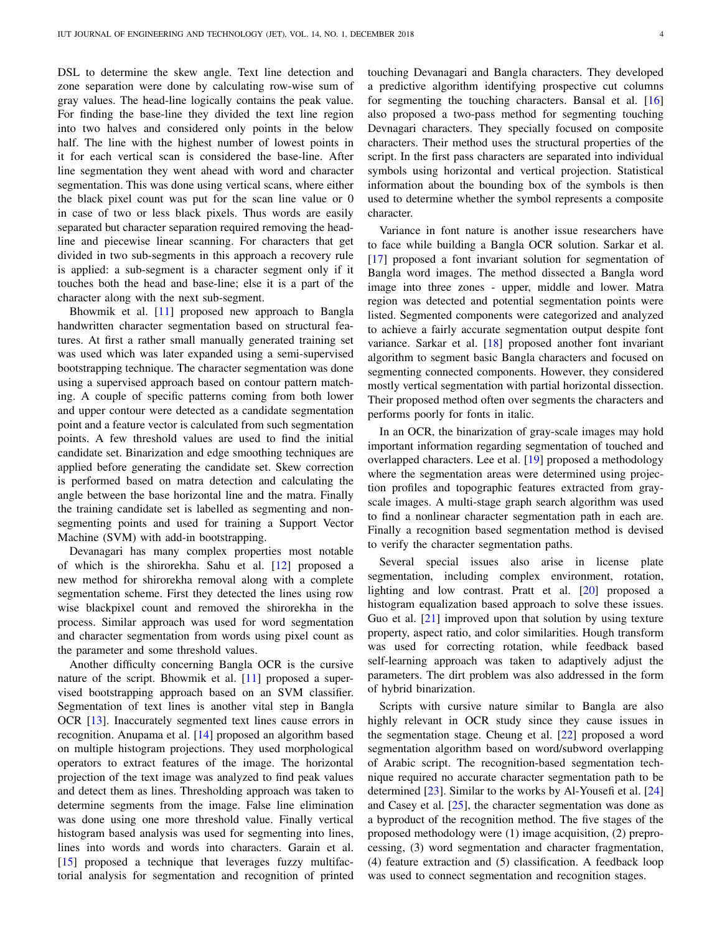DSL to determine the skew angle. Text line detection and zone separation were done by calculating row-wise sum of gray values. The head-line logically contains the peak value. For finding the base-line they divided the text line region into two halves and considered only points in the below half. The line with the highest number of lowest points in it for each vertical scan is considered the base-line. After line segmentation they went ahead with word and character segmentation. This was done using vertical scans, where either the black pixel count was put for the scan line value or 0 in case of two or less black pixels. Thus words are easily separated but character separation required removing the headline and piecewise linear scanning. For characters that get divided in two sub-segments in this approach a recovery rule is applied: a sub-segment is a character segment only if it touches both the head and base-line; else it is a part of the character along with the next sub-segment.

Bhowmik et al. [\[11\]](#page-5-10) proposed new approach to Bangla handwritten character segmentation based on structural features. At first a rather small manually generated training set was used which was later expanded using a semi-supervised bootstrapping technique. The character segmentation was done using a supervised approach based on contour pattern matching. A couple of specific patterns coming from both lower and upper contour were detected as a candidate segmentation point and a feature vector is calculated from such segmentation points. A few threshold values are used to find the initial candidate set. Binarization and edge smoothing techniques are applied before generating the candidate set. Skew correction is performed based on matra detection and calculating the angle between the base horizontal line and the matra. Finally the training candidate set is labelled as segmenting and nonsegmenting points and used for training a Support Vector Machine (SVM) with add-in bootstrapping.

Devanagari has many complex properties most notable of which is the shirorekha. Sahu et al. [\[12\]](#page-5-11) proposed a new method for shirorekha removal along with a complete segmentation scheme. First they detected the lines using row wise blackpixel count and removed the shirorekha in the process. Similar approach was used for word segmentation and character segmentation from words using pixel count as the parameter and some threshold values.

Another difficulty concerning Bangla OCR is the cursive nature of the script. Bhowmik et al. [\[11\]](#page-5-10) proposed a supervised bootstrapping approach based on an SVM classifier. Segmentation of text lines is another vital step in Bangla OCR [\[13\]](#page-5-12). Inaccurately segmented text lines cause errors in recognition. Anupama et al. [\[14\]](#page-5-13) proposed an algorithm based on multiple histogram projections. They used morphological operators to extract features of the image. The horizontal projection of the text image was analyzed to find peak values and detect them as lines. Thresholding approach was taken to determine segments from the image. False line elimination was done using one more threshold value. Finally vertical histogram based analysis was used for segmenting into lines, lines into words and words into characters. Garain et al. [\[15\]](#page-5-14) proposed a technique that leverages fuzzy multifactorial analysis for segmentation and recognition of printed touching Devanagari and Bangla characters. They developed a predictive algorithm identifying prospective cut columns for segmenting the touching characters. Bansal et al. [\[16\]](#page-5-15) also proposed a two-pass method for segmenting touching Devnagari characters. They specially focused on composite characters. Their method uses the structural properties of the script. In the first pass characters are separated into individual symbols using horizontal and vertical projection. Statistical information about the bounding box of the symbols is then used to determine whether the symbol represents a composite character.

Variance in font nature is another issue researchers have to face while building a Bangla OCR solution. Sarkar et al. [\[17\]](#page-5-16) proposed a font invariant solution for segmentation of Bangla word images. The method dissected a Bangla word image into three zones - upper, middle and lower. Matra region was detected and potential segmentation points were listed. Segmented components were categorized and analyzed to achieve a fairly accurate segmentation output despite font variance. Sarkar et al. [\[18\]](#page-5-17) proposed another font invariant algorithm to segment basic Bangla characters and focused on segmenting connected components. However, they considered mostly vertical segmentation with partial horizontal dissection. Their proposed method often over segments the characters and performs poorly for fonts in italic.

In an OCR, the binarization of gray-scale images may hold important information regarding segmentation of touched and overlapped characters. Lee et al. [\[19\]](#page-5-18) proposed a methodology where the segmentation areas were determined using projection profiles and topographic features extracted from grayscale images. A multi-stage graph search algorithm was used to find a nonlinear character segmentation path in each are. Finally a recognition based segmentation method is devised to verify the character segmentation paths.

Several special issues also arise in license plate segmentation, including complex environment, rotation, lighting and low contrast. Pratt et al. [\[20\]](#page-5-19) proposed a histogram equalization based approach to solve these issues. Guo et al. [\[21\]](#page-6-0) improved upon that solution by using texture property, aspect ratio, and color similarities. Hough transform was used for correcting rotation, while feedback based self-learning approach was taken to adaptively adjust the parameters. The dirt problem was also addressed in the form of hybrid binarization.

Scripts with cursive nature similar to Bangla are also highly relevant in OCR study since they cause issues in the segmentation stage. Cheung et al. [\[22\]](#page-6-1) proposed a word segmentation algorithm based on word/subword overlapping of Arabic script. The recognition-based segmentation technique required no accurate character segmentation path to be determined [\[23\]](#page-6-2). Similar to the works by Al-Yousefi et al. [\[24\]](#page-6-3) and Casey et al. [\[25\]](#page-6-4), the character segmentation was done as a byproduct of the recognition method. The five stages of the proposed methodology were (1) image acquisition, (2) preprocessing, (3) word segmentation and character fragmentation, (4) feature extraction and (5) classification. A feedback loop was used to connect segmentation and recognition stages.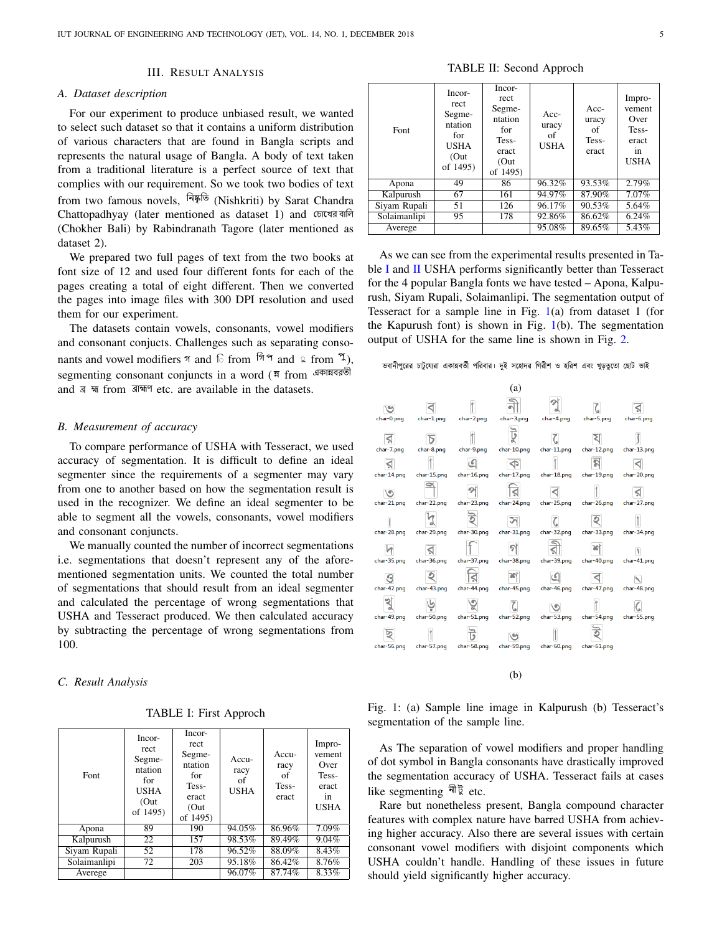# III. RESULT ANALYSIS

## *A. Dataset description*

For our experiment to produce unbiased result, we wanted to select such dataset so that it contains a uniform distribution of various characters that are found in Bangla scripts and represents the natural usage of Bangla. A body of text taken from a traditional literature is a perfect source of text that complies with our requirement. So we took two bodies of text from two famous novels, <sup>निकू</sup>र्তि (Nishkriti) by Sarat Chandra Chattopadhyay (later mentioned as dataset 1) and (Chokher Bali) by Rabindranath Tagore (later mentioned as dataset 2).

We prepared two full pages of text from the two books at font size of 12 and used four different fonts for each of the pages creating a total of eight different. Then we converted the pages into image files with 300 DPI resolution and used them for our experiment.

The datasets contain vowels, consonants, vowel modifiers and consonant conjucts. Challenges such as separating consonants and vowel modifiers  $\alpha$  and  $\beta$  from  $\beta$  and  $\alpha$  from  $\alpha$ ), segmenting consonant conjuncts in a word (<sup>ন</sup> from <sup>একান্নবরতী</sup> and  $\overline{a}$   $\overline{m}$  from  $\overline{a}$   $\overline{m}$  etc. are available in the datasets.

## *B. Measurement of accuracy*

To compare performance of USHA with Tesseract, we used accuracy of segmentation. It is difficult to define an ideal segmenter since the requirements of a segmenter may vary from one to another based on how the segmentation result is used in the recognizer. We define an ideal segmenter to be able to segment all the vowels, consonants, vowel modifiers and consonant conjuncts.

We manually counted the number of incorrect segmentations i.e. segmentations that doesn't represent any of the aforementioned segmentation units. We counted the total number of segmentations that should result from an ideal segmenter and calculated the percentage of wrong segmentations that USHA and Tesseract produced. We then calculated accuracy by subtracting the percentage of wrong segmentations from 100.

*C. Result Analysis*

|  |  |  | TABLE I: First Approch |
|--|--|--|------------------------|
|--|--|--|------------------------|

<span id="page-4-0"></span>

| Font         | Incor-<br>rect<br>Segme-<br>ntation<br>for<br><b>USHA</b><br>(Out<br>of 1495) | Incor-<br>rect<br>Segme-<br>ntation<br>for<br>Tess-<br>eract<br>(Out<br>of 1495) | Accu-<br>racy<br>οf<br><b>USHA</b> | Accu-<br>racy<br>of<br>Tess-<br>eract | Impro-<br>vement<br>Over<br>Tess-<br>eract<br>in<br><b>USHA</b> |
|--------------|-------------------------------------------------------------------------------|----------------------------------------------------------------------------------|------------------------------------|---------------------------------------|-----------------------------------------------------------------|
| Apona        | 89                                                                            | 190                                                                              | 94.05%                             | 86.96%                                | 7.09%                                                           |
| Kalpurush    | 22                                                                            | 157                                                                              | 98.53%                             | 89.49%                                | 9.04%                                                           |
| Siyam Rupali | 52                                                                            | 178                                                                              | 96.52%                             | 88.09%                                | 8.43%                                                           |
| Solaimanlipi | 72                                                                            | 203                                                                              | 95.18%                             | 86.42%                                | 8.76%                                                           |
| Averege      |                                                                               |                                                                                  | 96.07%                             | 87.74%                                | 8.33%                                                           |

TABLE II: Second Approch

<span id="page-4-1"></span>

| Font         | Incor-<br>rect<br>Segme-<br>ntation<br>for<br><b>USHA</b><br>(Out<br>of 1495) | Incor-<br>rect<br>Segme-<br>ntation<br>for<br>Tess-<br>eract<br>(Out<br>of 1495) | $Acc-$<br>uracy<br>of<br><b>USHA</b> | $Acc-$<br>uracy<br>of<br>Tess-<br>eract | Impro-<br>vement<br>Over<br>Tess-<br>eract<br>1n<br><b>USHA</b> |
|--------------|-------------------------------------------------------------------------------|----------------------------------------------------------------------------------|--------------------------------------|-----------------------------------------|-----------------------------------------------------------------|
| Apona        | 49                                                                            | 86                                                                               | 96.32%                               | 93.53%                                  | 2.79%                                                           |
| Kalpurush    | 67                                                                            | 161                                                                              | 94.97%                               | 87.90%                                  | 7.07%                                                           |
| Siyam Rupali | 51                                                                            | 126                                                                              | 96.17%                               | 90.53%                                  | 5.64%                                                           |
| Solaimanlipi | 95                                                                            | 178                                                                              | 92.86%                               | 86.62%                                  | 6.24%                                                           |
| Averege      |                                                                               |                                                                                  | 95.08%                               | 89.65%                                  | 5.43%                                                           |

As we can see from the experimental results presented in Ta-ble [I](#page-4-0) and [II](#page-4-1) USHA performs significantly better than Tesseract for the 4 popular Bangla fonts we have tested – Apona, Kalpurush, Siyam Rupali, Solaimanlipi. The segmentation output of Tesseract for a sample line in Fig.  $1(a)$  $1(a)$  from dataset 1 (for the Kapurush font) is shown in Fig.  $1(b)$  $1(b)$ . The segmentation output of USHA for the same line is shown in Fig. [2.](#page-5-20)

<span id="page-4-2"></span>ভবানীপুরের চাটুয্যেরা একান্নবর্তী পরিবার। দুই সহোদর গিরীশ ও হরিশ এবং খুড়তুতো ছোট ভাই

|            |                                                                                     |            | (a) |                                     |                         |             |
|------------|-------------------------------------------------------------------------------------|------------|-----|-------------------------------------|-------------------------|-------------|
|            | char-0.png char-1.png char-2.png char-3.png char-4.png char-5.png char-6.png        |            |     |                                     |                         |             |
| char-7.png | char-8.png                                                                          | char-9.pnq |     | char-10.png char-11.png char-12.png |                         | char-13.png |
|            | char-14.png char-15.png char-16.png char-17.png char-18.png char-19.png char-20.png |            | ⊲   |                                     | $\mathbb{R}$            |             |
|            | char-21.png char-22.png char-23.png char-24.png char-25.png char-26.png char-27.png |            |     |                                     |                         |             |
|            | char-28.png char-29.png char-30.png char-31.png char-32.png char-33.png char-34.png |            |     |                                     |                         |             |
|            | char-35.png char-36.png char-37.png char-38.png                                     |            |     |                                     | char-39.png char-40.png | char-41.pnq |
|            | char-42.png char-43.png char-44.png char-45.png char-46.png char-47.png char-48.png |            |     |                                     |                         |             |
|            | char-49.png char-50.png char-51.png char-52.png char-53.png char-54.png char-55.png |            |     |                                     |                         |             |
|            | char-56.png char-57.png char-58.png char-59.png char-60.png char-61.png             |            |     |                                     |                         |             |
|            |                                                                                     |            |     |                                     |                         |             |

(b)

Fig. 1: (a) Sample line image in Kalpurush (b) Tesseract's segmentation of the sample line.

As The separation of vowel modifiers and proper handling of dot symbol in Bangla consonants have drastically improved the segmentation accuracy of USHA. Tesseract fails at cases like segmenting  $\partial \overrightarrow{\theta}$  etc.

Rare but nonetheless present, Bangla compound character features with complex nature have barred USHA from achieving higher accuracy. Also there are several issues with certain consonant vowel modifiers with disjoint components which USHA couldn't handle. Handling of these issues in future should yield significantly higher accuracy.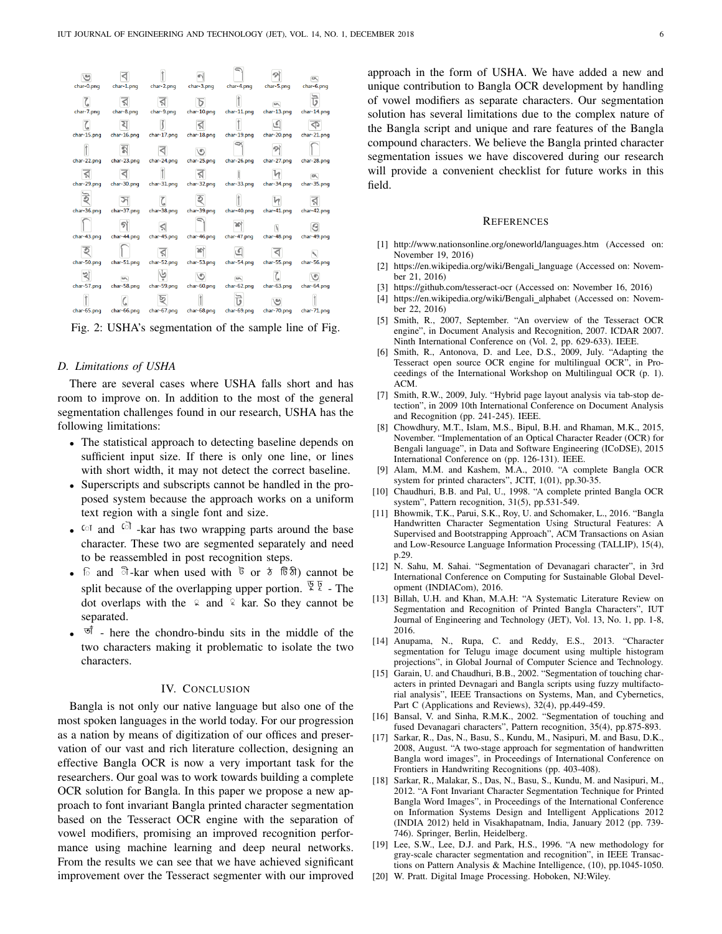<span id="page-5-20"></span>

|  |  | char-0.png char-1.png char-2.png char-3.png char-4.png char-5.png char-6.png        |             |
|--|--|-------------------------------------------------------------------------------------|-------------|
|  |  | char-7.png char-8.png char-9.png char-10.png char-11.png char-13.png                | char-14.png |
|  |  | char-15.png char-16.png char-17.png char-18.png char-19.png char-20.png char-21.png |             |
|  |  | char-22.pnq char-23.pnq char-24.pnq char-25.pnq char-26.pnq char-27.pnq char-28.pnq |             |
|  |  | char-29.png char-30.png char-31.png char-32.png char-33.png char-34.png char-35.png |             |
|  |  | char-36.png char-37.png char-38.png char-39.png char-40.png char-41.png             | char-42.png |
|  |  | char-43.png char-44.png char-45.png char-46.png char-47.png char-48.png             | char-49.png |
|  |  | char-50.png char-51.png char-52.png char-53.png char-54.png char-55.png char-56.png |             |
|  |  | char-57.pnq char-58.pnq char-59.pnq char-60.pnq char-62.pnq char-63.pnq char-64.pnq |             |
|  |  | char-65.png char-66.png char-67.png char-68.png char-69.png char-70.png char-71.png |             |

Fig. 2: USHA's segmentation of the sample line of Fig.

#### *D. Limitations of USHA*

There are several cases where USHA falls short and has room to improve on. In addition to the most of the general segmentation challenges found in our research, USHA has the following limitations:

- The statistical approach to detecting baseline depends on sufficient input size. If there is only one line, or lines with short width, it may not detect the correct baseline.
- Superscripts and subscripts cannot be handled in the proposed system because the approach works on a uniform text region with a single font and size.
- $\omega$  and  $\omega$  -kar has two wrapping parts around the base character. These two are segmented separately and need to be reassembled in post recognition steps.
- $\hat{a}$  and  $\hat{a}$ -kar when used with  $\vec{b}$  or  $\hat{b}$   $\hat{b}$ ) cannot be split because of the overlapping upper portion.  $\frac{1}{2}$   $\frac{1}{2}$  - The dot overlaps with the  $\infty$  and  $\infty$  kar. So they cannot be separated.
- $\vec{v}$  here the chondro-bindu sits in the middle of the two characters making it problematic to isolate the two characters.

# IV. CONCLUSION

Bangla is not only our native language but also one of the most spoken languages in the world today. For our progression as a nation by means of digitization of our offices and preservation of our vast and rich literature collection, designing an effective Bangla OCR is now a very important task for the researchers. Our goal was to work towards building a complete OCR solution for Bangla. In this paper we propose a new approach to font invariant Bangla printed character segmentation based on the Tesseract OCR engine with the separation of vowel modifiers, promising an improved recognition performance using machine learning and deep neural networks. From the results we can see that we have achieved significant improvement over the Tesseract segmenter with our improved

approach in the form of USHA. We have added a new and unique contribution to Bangla OCR development by handling of vowel modifiers as separate characters. Our segmentation solution has several limitations due to the complex nature of the Bangla script and unique and rare features of the Bangla compound characters. We believe the Bangla printed character segmentation issues we have discovered during our research will provide a convenient checklist for future works in this field.

#### **REFERENCES**

- <span id="page-5-0"></span>[1] http://www.nationsonline.org/oneworld/languages.htm (Accessed on: November 19, 2016)
- <span id="page-5-1"></span>[2] https://en.wikipedia.org/wiki/Bengali\_language (Accessed on: November 21, 2016)
- <span id="page-5-2"></span>[3] https://github.com/tesseract-ocr (Accessed on: November 16, 2016)
- <span id="page-5-3"></span>[4] https://en.wikipedia.org/wiki/Bengali\_alphabet (Accessed on: November 22, 2016)
- <span id="page-5-4"></span>[5] Smith, R., 2007, September. "An overview of the Tesseract OCR engine", in Document Analysis and Recognition, 2007. ICDAR 2007. Ninth International Conference on (Vol. 2, pp. 629-633). IEEE.
- <span id="page-5-5"></span>[6] Smith, R., Antonova, D. and Lee, D.S., 2009, July. "Adapting the Tesseract open source OCR engine for multilingual OCR", in Proceedings of the International Workshop on Multilingual OCR (p. 1). ACM.
- <span id="page-5-6"></span>[7] Smith, R.W., 2009, July. "Hybrid page layout analysis via tab-stop detection", in 2009 10th International Conference on Document Analysis and Recognition (pp. 241-245). IEEE.
- <span id="page-5-7"></span>[8] Chowdhury, M.T., Islam, M.S., Bipul, B.H. and Rhaman, M.K., 2015, November. "Implementation of an Optical Character Reader (OCR) for Bengali language", in Data and Software Engineering (ICoDSE), 2015 International Conference on (pp. 126-131). IEEE.
- <span id="page-5-8"></span>[9] Alam, M.M. and Kashem, M.A., 2010. "A complete Bangla OCR system for printed characters", JCIT, 1(01), pp.30-35.
- <span id="page-5-9"></span>[10] Chaudhuri, B.B. and Pal, U., 1998. "A complete printed Bangla OCR system", Pattern recognition, 31(5), pp.531-549.
- <span id="page-5-10"></span>[11] Bhowmik, T.K., Parui, S.K., Roy, U. and Schomaker, L., 2016. "Bangla Handwritten Character Segmentation Using Structural Features: A Supervised and Bootstrapping Approach", ACM Transactions on Asian and Low-Resource Language Information Processing (TALLIP), 15(4), p.29.
- <span id="page-5-11"></span>[12] N. Sahu, M. Sahai. "Segmentation of Devanagari character", in 3rd International Conference on Computing for Sustainable Global Development (INDIACom), 2016.
- <span id="page-5-12"></span>[13] Billah, U.H. and Khan, M.A.H: "A Systematic Literature Review on Segmentation and Recognition of Printed Bangla Characters", IUT Journal of Engineering and Technology (JET), Vol. 13, No. 1, pp. 1-8, 2016.
- <span id="page-5-13"></span>[14] Anupama, N., Rupa, C. and Reddy, E.S., 2013. "Character segmentation for Telugu image document using multiple histogram projections", in Global Journal of Computer Science and Technology.
- <span id="page-5-14"></span>[15] Garain, U. and Chaudhuri, B.B., 2002. "Segmentation of touching characters in printed Devnagari and Bangla scripts using fuzzy multifactorial analysis", IEEE Transactions on Systems, Man, and Cybernetics, Part C (Applications and Reviews), 32(4), pp.449-459.
- <span id="page-5-15"></span>[16] Bansal, V. and Sinha, R.M.K., 2002. "Segmentation of touching and fused Devanagari characters", Pattern recognition, 35(4), pp.875-893.
- <span id="page-5-16"></span>[17] Sarkar, R., Das, N., Basu, S., Kundu, M., Nasipuri, M. and Basu, D.K., 2008, August. "A two-stage approach for segmentation of handwritten Bangla word images", in Proceedings of International Conference on Frontiers in Handwriting Recognitions (pp. 403-408).
- <span id="page-5-17"></span>[18] Sarkar, R., Malakar, S., Das, N., Basu, S., Kundu, M. and Nasipuri, M., 2012. "A Font Invariant Character Segmentation Technique for Printed Bangla Word Images", in Proceedings of the International Conference on Information Systems Design and Intelligent Applications 2012 (INDIA 2012) held in Visakhapatnam, India, January 2012 (pp. 739- 746). Springer, Berlin, Heidelberg.
- <span id="page-5-18"></span>[19] Lee, S.W., Lee, D.J. and Park, H.S., 1996. "A new methodology for gray-scale character segmentation and recognition", in IEEE Transactions on Pattern Analysis & Machine Intelligence, (10), pp.1045-1050.
- <span id="page-5-19"></span>[20] W. Pratt. Digital Image Processing. Hoboken, NJ:Wiley.